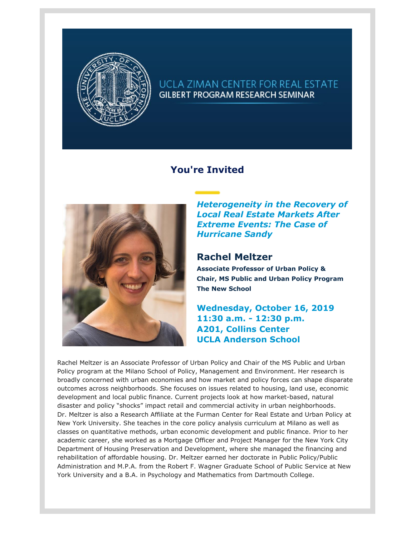

## UCLA ZIMAN CENTER FOR REAL ESTATE **GILBERT PROGRAM RESEARCH SEMINAR**

## **You're Invited**



*Heterogeneity in the Recovery of Local Real Estate Markets After Extreme Events: The Case of Hurricane Sandy*

## **Rachel Meltzer**

**Associate Professor of Urban Policy & Chair, MS Public and Urban Policy Program The New School**

**Wednesday, October 16, 2019 11:30 a.m. - 12:30 p.m. A201, Collins Center UCLA Anderson School**

Rachel Meltzer is an Associate Professor of Urban Policy and Chair of the MS Public and Urban Policy program at the Milano School of Policy, Management and Environment. Her research is broadly concerned with urban economies and how market and policy forces can shape disparate outcomes across neighborhoods. She focuses on issues related to housing, land use, economic development and local public finance. Current projects look at how market-based, natural disaster and policy "shocks" impact retail and commercial activity in urban neighborhoods. Dr. Meltzer is also a Research Affiliate at the Furman Center for Real Estate and Urban Policy at New York University. She teaches in the core policy analysis curriculum at Milano as well as classes on quantitative methods, urban economic development and public finance. Prior to her academic career, she worked as a Mortgage Officer and Project Manager for the New York City Department of Housing Preservation and Development, where she managed the financing and rehabilitation of affordable housing. Dr. Meltzer earned her doctorate in Public Policy/Public Administration and M.P.A. from the Robert F. Wagner Graduate School of Public Service at New York University and a B.A. in Psychology and Mathematics from Dartmouth College.